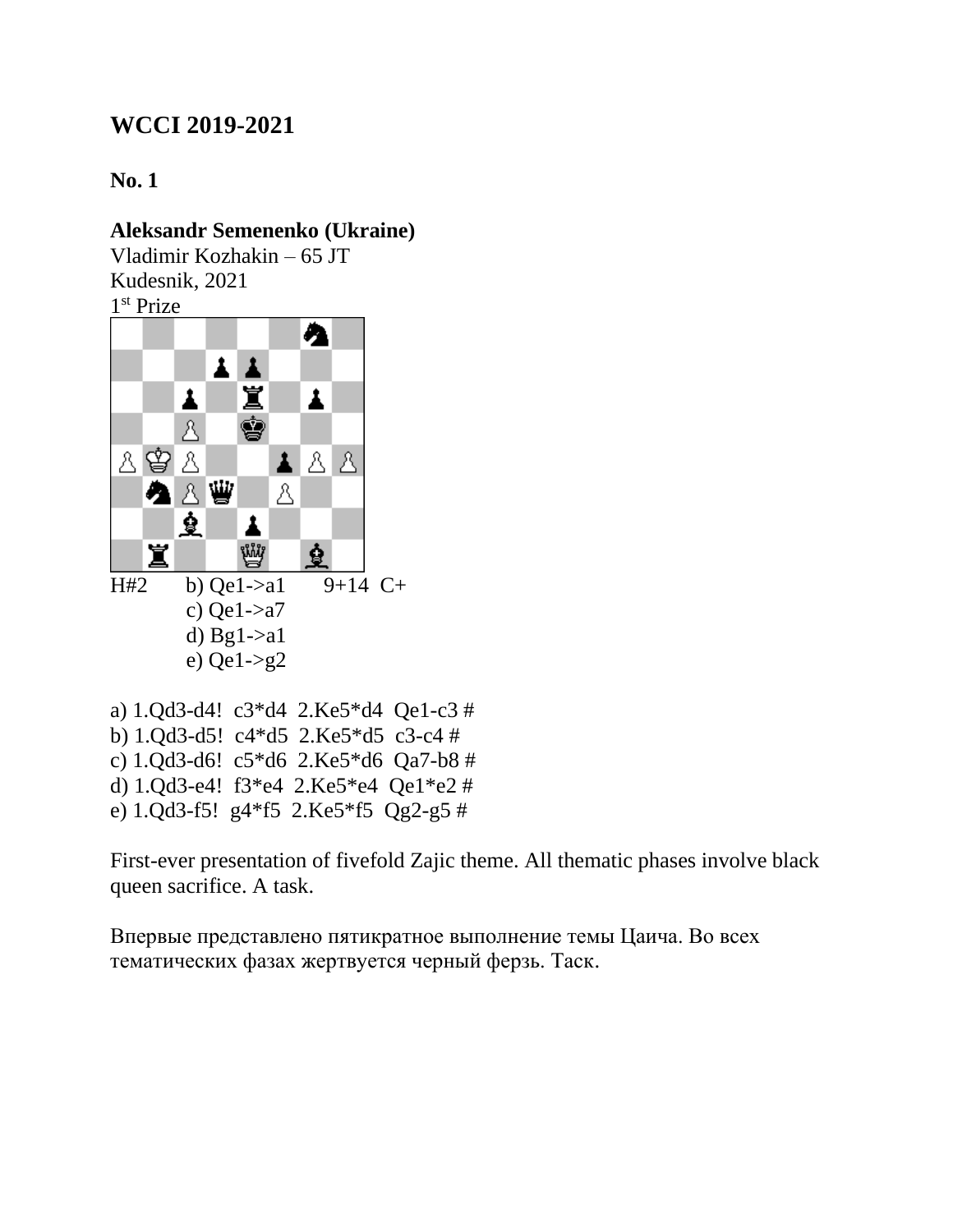**No. 1**

#### **Aleksandr Semenenko (Ukraine)**

Vladimir Kozhakin – 65 JT Kudesnik, 2021 1 st Prize



a) 1.Qd3-d4! c3\*d4 2.Ke5\*d4 Qe1-c3 # b) 1.Qd3-d5! c4\*d5 2.Ke5\*d5 c3-c4 # c) 1.Qd3-d6! c5\*d6 2.Ke5\*d6 Qa7-b8 # d) 1.Qd3-e4! f3\*e4 2.Ke5\*e4 Qe1\*e2 # e) 1.Qd3-f5! g4\*f5 2.Ke5\*f5 Qg2-g5 #

First-ever presentation of fivefold Zajic theme. All thematic phases involve black queen sacrifice. A task.

Впервые представлено пятикратное выполнение темы Цаича. Во всех тематических фазах жертвуется черный ферзь. Таск.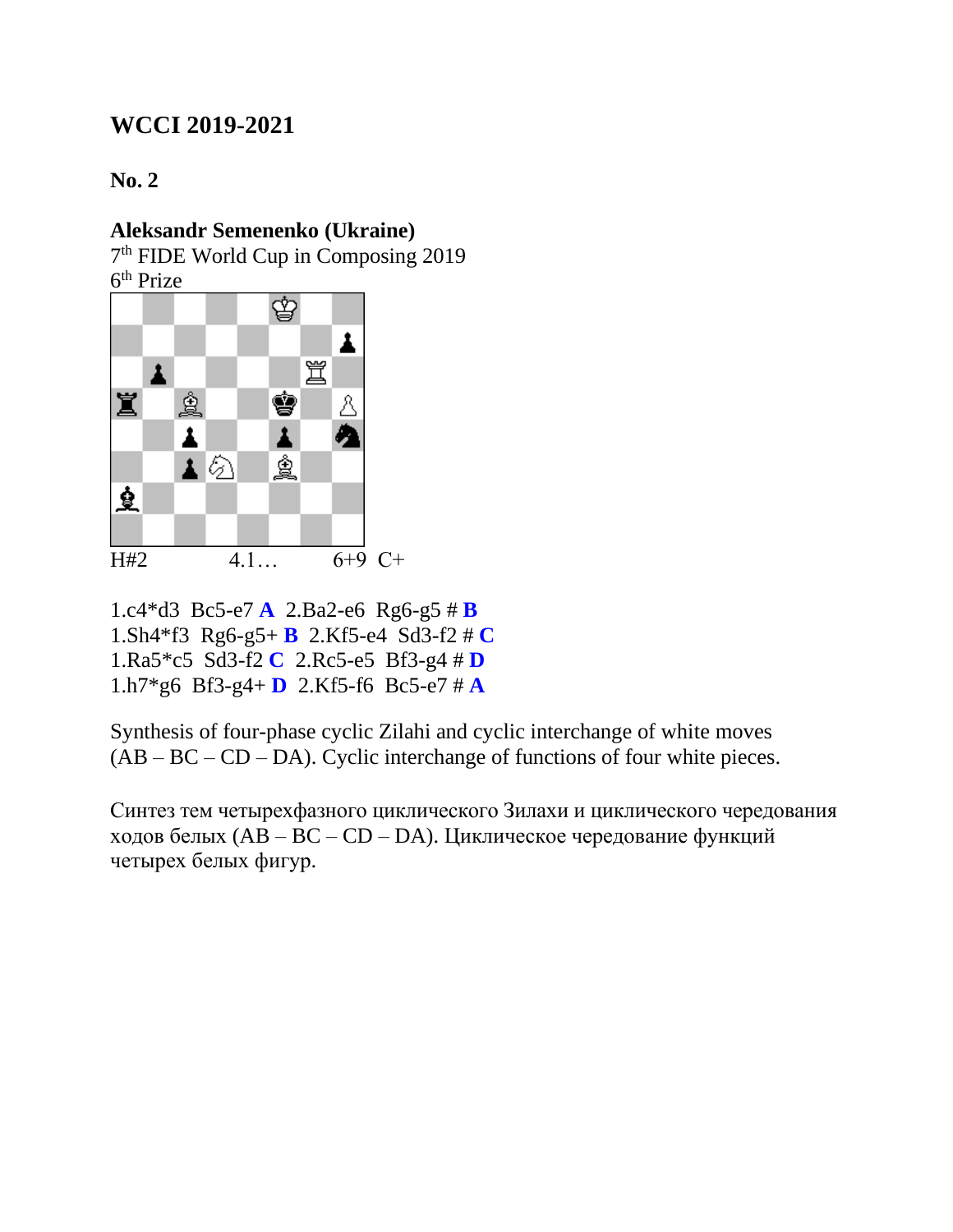#### **No. 2**

### **Aleksandr Semenenko (Ukraine)**

7 th FIDE World Cup in Composing 2019

6<sup>th</sup> Prize



1.c4\*d3 Bc5-e7 **A** 2.Ba2-e6 Rg6-g5 # **B** 1.Sh4\*f3 Rg6-g5+ **B** 2.Kf5-e4 Sd3-f2 # **C** 1.Ra5\*c5 Sd3-f2 **C** 2.Rc5-e5 Bf3-g4 # **D** 1.h7\*g6 Bf3-g4+ **D** 2.Kf5-f6 Bc5-e7 # **A**

Synthesis of four-phase cyclic Zilahi and cyclic interchange of white moves  $(AB - BC - CD - DA)$ . Cyclic interchange of functions of four white pieces.

Синтез тем четырехфазного циклического Зилахи и циклического чередования ходов белых (AB – BC – CD – DA). Циклическое чередование функций четырех белых фигур.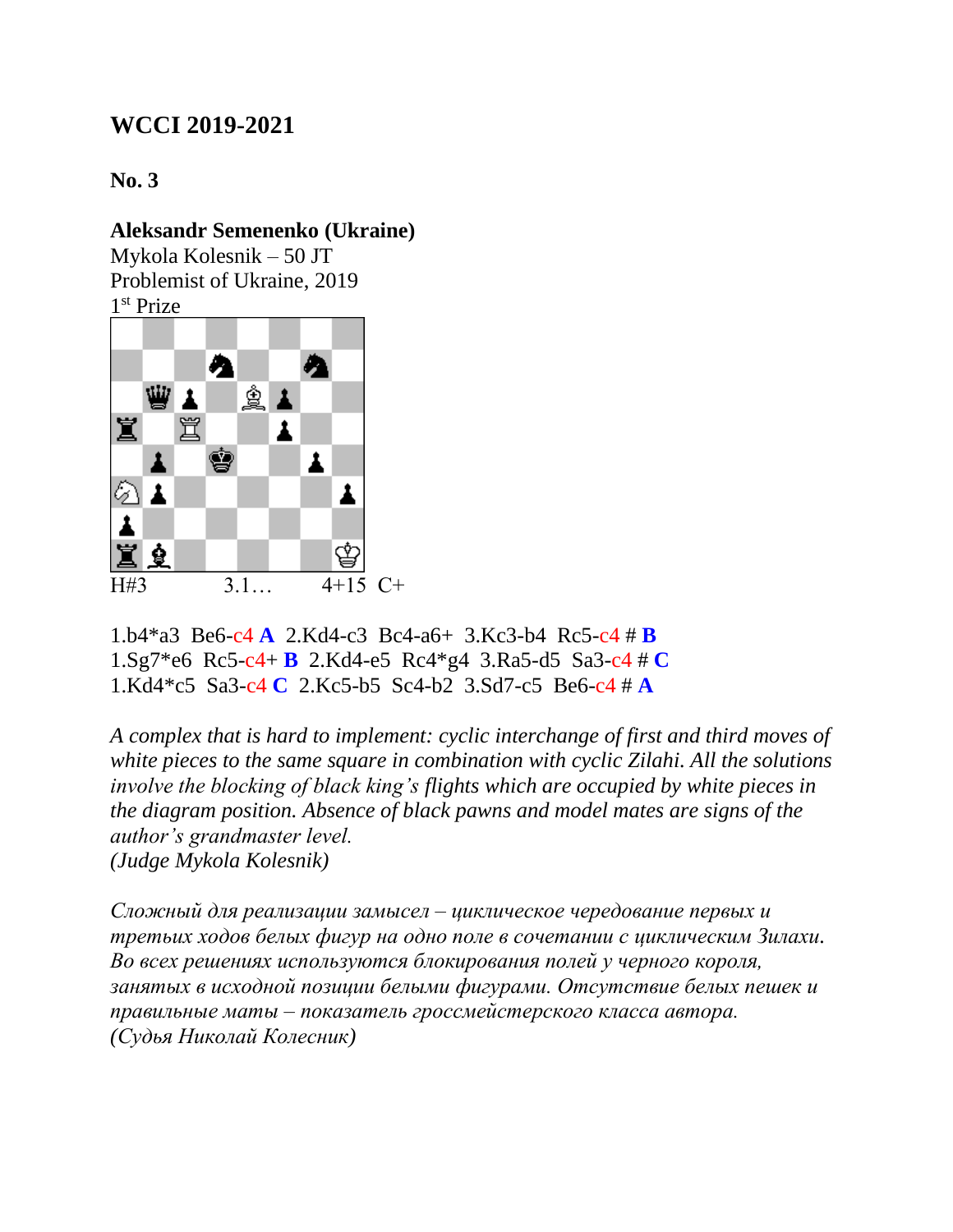#### **No. 3**

#### **Aleksandr Semenenko (Ukraine)**

Mykola Kolesnik – 50 JT Problemist of Ukraine, 2019 1 st Prize



1.b4\*a3 Be6-c4 **A** 2.Kd4-c3 Bc4-a6+ 3.Kc3-b4 Rc5-c4 # **B** 1.Sg7\*e6 Rc5-c4+ **B** 2.Kd4-e5 Rc4\*g4 3.Ra5-d5 Sa3-c4 # **C** 1.Kd4\*c5 Sa3-c4 **C** 2.Kc5-b5 Sc4-b2 3.Sd7-c5 Be6-c4 # **A**

*A complex that is hard to implement: cyclic interchange of first and third moves of white pieces to the same square in combination with cyclic Zilahi. All the solutions involve the blocking of black king's flights which are occupied by white pieces in the diagram position. Absence of black pawns and model mates are signs of the author's grandmaster level.*

*(Judge Mykola Kolesnik)*

*Сложный для реализации замысел – циклическое чередование первых и третьих ходов белых фигур на одно поле в сочетании с циклическим Зилахи. Во всех решениях используются блокирования полей у черного короля, занятых в исходной позиции белыми фигурами. Отсутствие белых пешек и правильные маты – показатель гроссмейстерского класса автора. (Судья Николай Колесник)*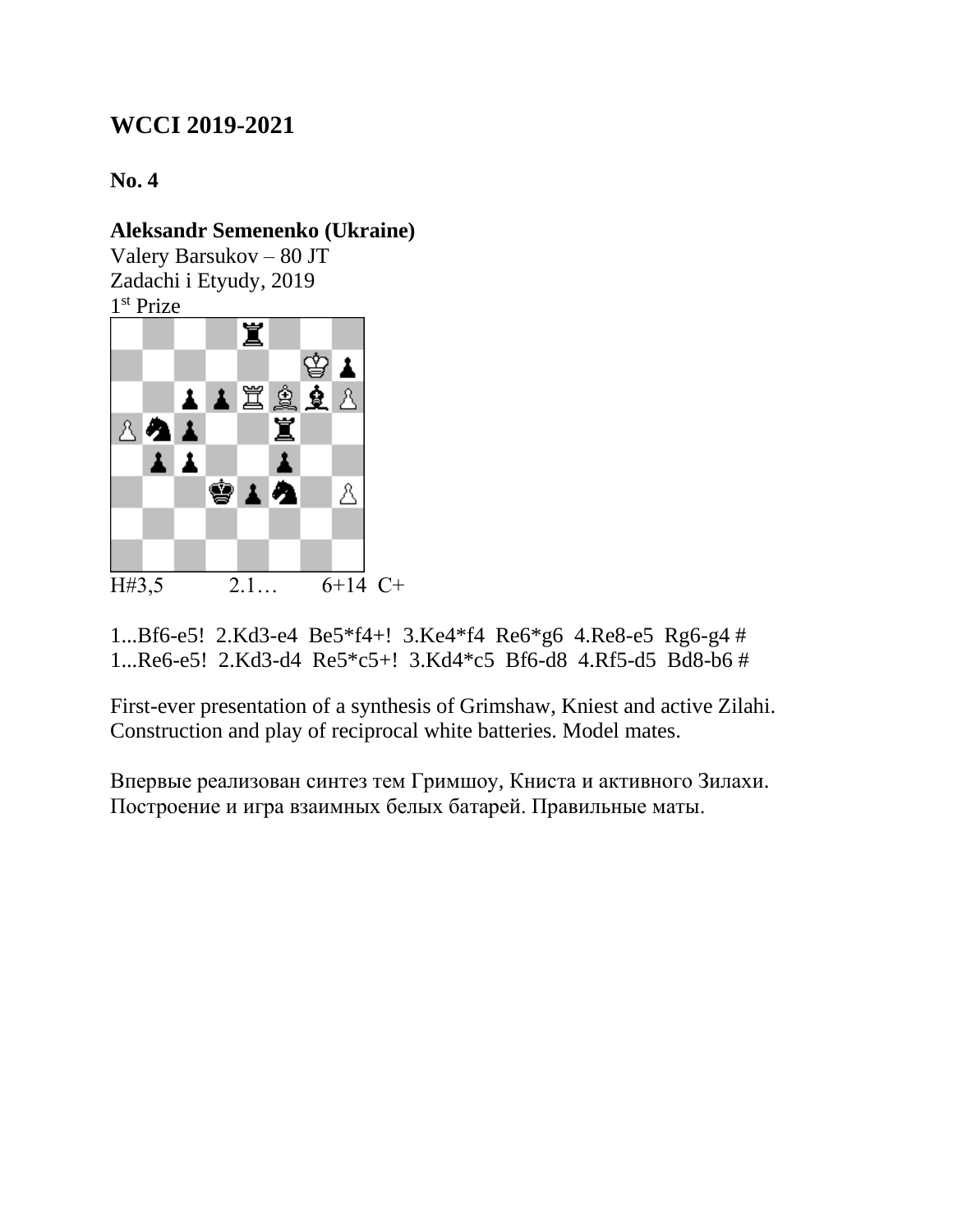**No. 4**

### **Aleksandr Semenenko (Ukraine)**

Valery Barsukov – 80 JT Zadachi i Etyudy, 2019 1 st Prize



1...Bf6-e5! 2.Kd3-e4 Be5\*f4+! 3.Ke4\*f4 Re6\*g6 4.Re8-e5 Rg6-g4 # 1...Re6-e5! 2.Kd3-d4 Re5\*c5+! 3.Kd4\*c5 Bf6-d8 4.Rf5-d5 Bd8-b6 #

First-ever presentation of a synthesis of Grimshaw, Kniest and active Zilahi. Construction and play of reciprocal white batteries. Model mates.

Впервые реализован синтез тем Гримшоу, Книста и активного Зилахи. Построение и игра взаимных белых батарей. Правильные маты.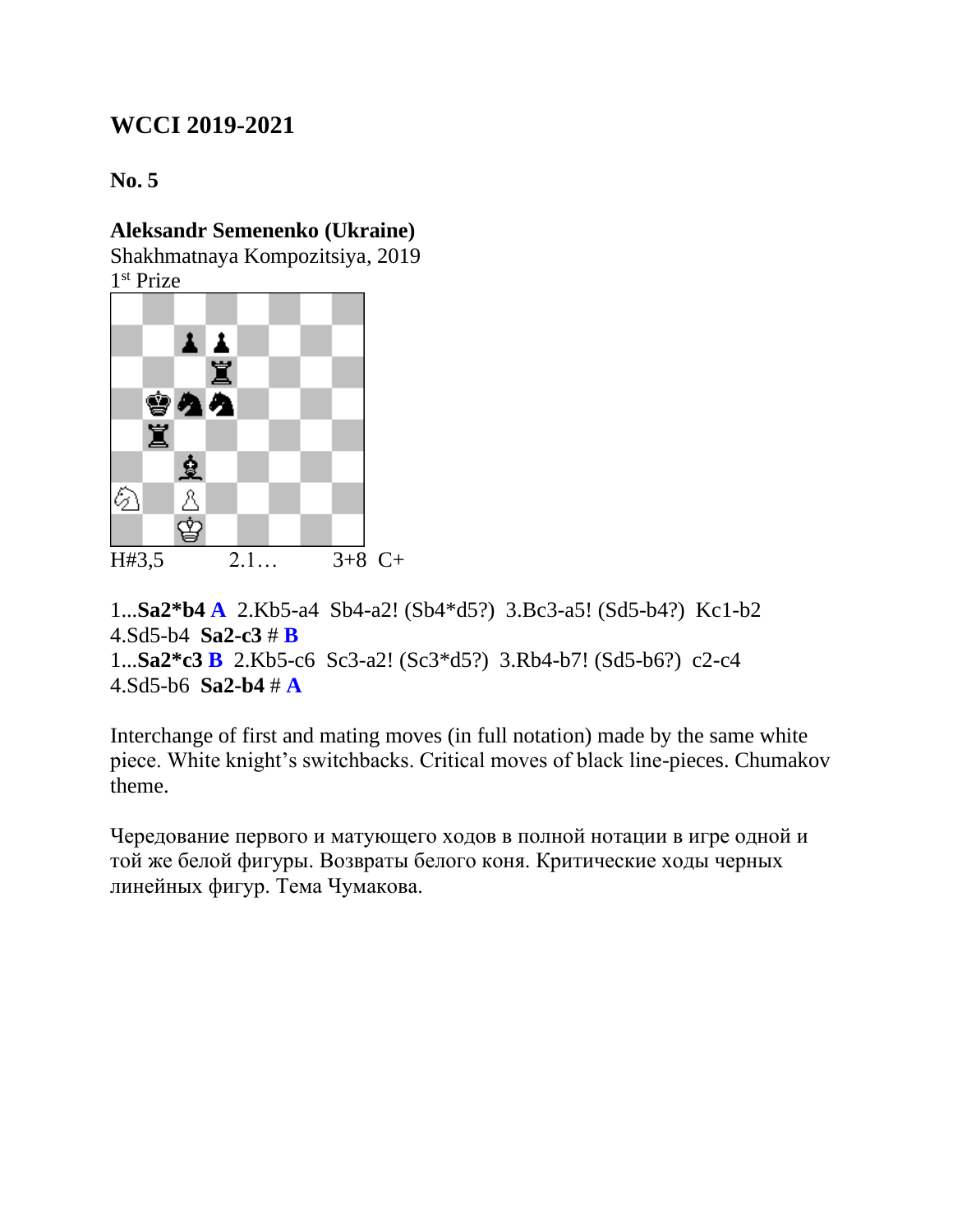**No. 5**

## **Aleksandr Semenenko (Ukraine)**

Shakhmatnaya Kompozitsiya, 2019

1 st Prize



```
1...Sa2*b4 A 2.Kb5-a4 Sb4-a2! (Sb4*d5?) 3.Bc3-a5! (Sd5-b4?) Kc1-b2 
4.Sd5-b4 Sa2-c3 # B
1...Sa2*c3 B 2.Kb5-c6 Sc3-a2! (Sc3*d5?) 3.Rb4-b7! (Sd5-b6?) c2-c4 
4.Sd5-b6 Sa2-b4 # A
```
Interchange of first and mating moves (in full notation) made by the same white piece. White knight's switchbacks. Critical moves of black line-pieces. Chumakov theme.

Чередование первого и матующего ходов в полной нотации в игре одной и той же белой фигуры. Возвраты белого коня. Критические ходы черных линейных фигур. Тема Чумакова.